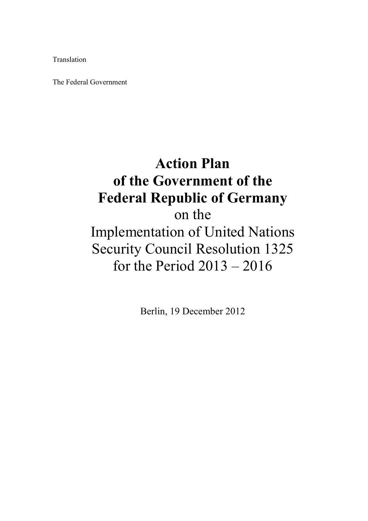Translation

The Federal Government

# **Action Plan of the Government of the Federal Republic of Germany**

on the Implementation of United Nations Security Council Resolution 1325 for the Period 2013 – 2016

Berlin, 19 December 2012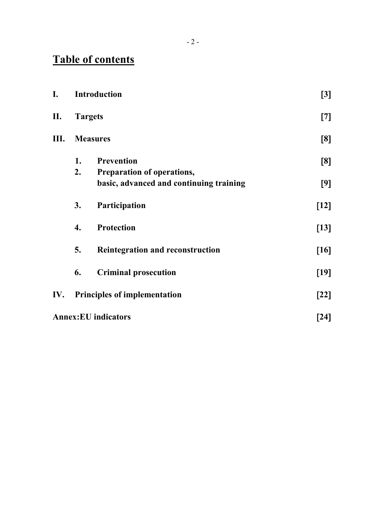# **Table of contents**

| I.                         | Introduction                        |                                         | $[3]$  |
|----------------------------|-------------------------------------|-----------------------------------------|--------|
| П.                         | <b>Targets</b>                      |                                         | $[7]$  |
| Ш.                         | <b>Measures</b>                     |                                         | [8]    |
|                            | 1.                                  | <b>Prevention</b>                       | [8]    |
|                            | 2.                                  | Preparation of operations,              |        |
|                            |                                     | basic, advanced and continuing training | [9]    |
|                            | 3.                                  | Participation                           | $[12]$ |
|                            | 4.                                  | <b>Protection</b>                       | $[13]$ |
|                            | 5.                                  | <b>Reintegration and reconstruction</b> | [16]   |
|                            | 6.                                  | <b>Criminal prosecution</b>             | $[19]$ |
| IV.                        | <b>Principles of implementation</b> |                                         | $[22]$ |
| <b>Annex:EU</b> indicators |                                     |                                         | [24]   |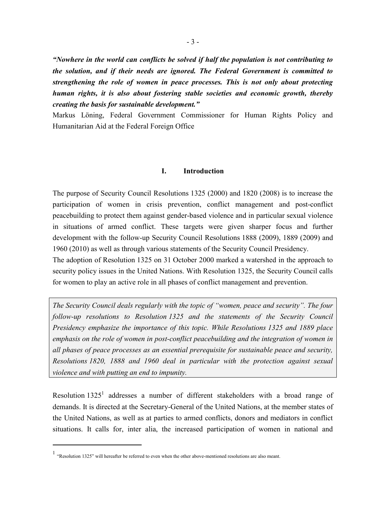*"Nowhere in the world can conflicts be solved if half the population is not contributing to the solution, and if their needs are ignored. The Federal Government is committed to strengthening the role of women in peace processes. This is not only about protecting human rights, it is also about fostering stable societies and economic growth, thereby creating the basis for sustainable development."*

Markus Löning, Federal Government Commissioner for Human Rights Policy and Humanitarian Aid at the Federal Foreign Office

#### **I. Introduction**

The purpose of Security Council Resolutions 1325 (2000) and 1820 (2008) is to increase the participation of women in crisis prevention, conflict management and post-conflict peacebuilding to protect them against gender-based violence and in particular sexual violence in situations of armed conflict. These targets were given sharper focus and further development with the follow-up Security Council Resolutions 1888 (2009), 1889 (2009) and 1960 (2010) as well as through various statements of the Security Council Presidency.

The adoption of Resolution 1325 on 31 October 2000 marked a watershed in the approach to security policy issues in the United Nations. With Resolution 1325, the Security Council calls for women to play an active role in all phases of conflict management and prevention.

*The Security Council deals regularly with the topic of "women, peace and security". The four follow-up resolutions to Resolution 1325 and the statements of the Security Council Presidency emphasize the importance of this topic. While Resolutions 1325 and 1889 place emphasis on the role of women in post-conflict peacebuilding and the integration of women in all phases of peace processes as an essential prerequisite for sustainable peace and security, Resolutions 1820, 1888 and 1960 deal in particular with the protection against sexual violence and with putting an end to impunity.*

Resolution  $1325<sup>1</sup>$  addresses a number of different stakeholders with a broad range of demands. It is directed at the Secretary-General of the United Nations, at the member states of the United Nations, as well as at parties to armed conflicts, donors and mediators in conflict situations. It calls for, inter alia, the increased participation of women in national and

<sup>1</sup> "Resolution 1325" will hereafter be referred to even when the other above-mentioned resolutions are also meant.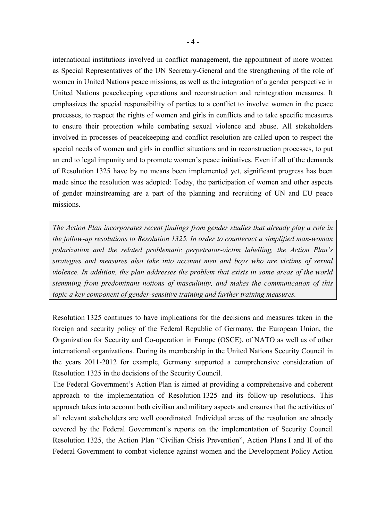international institutions involved in conflict management, the appointment of more women as Special Representatives of the UN Secretary-General and the strengthening of the role of women in United Nations peace missions, as well as the integration of a gender perspective in United Nations peacekeeping operations and reconstruction and reintegration measures. It emphasizes the special responsibility of parties to a conflict to involve women in the peace processes, to respect the rights of women and girls in conflicts and to take specific measures to ensure their protection while combating sexual violence and abuse. All stakeholders involved in processes of peacekeeping and conflict resolution are called upon to respect the special needs of women and girls in conflict situations and in reconstruction processes, to put an end to legal impunity and to promote women's peace initiatives. Even if all of the demands of Resolution 1325 have by no means been implemented yet, significant progress has been made since the resolution was adopted: Today, the participation of women and other aspects of gender mainstreaming are a part of the planning and recruiting of UN and EU peace missions.

*The Action Plan incorporates recent findings from gender studies that already play a role in the follow-up resolutions to Resolution 1325. In order to counteract a simplified man-woman polarization and the related problematic perpetrator-victim labelling, the Action Plan's strategies and measures also take into account men and boys who are victims of sexual violence. In addition, the plan addresses the problem that exists in some areas of the world stemming from predominant notions of masculinity, and makes the communication of this topic a key component of gender-sensitive training and further training measures.*

Resolution 1325 continues to have implications for the decisions and measures taken in the foreign and security policy of the Federal Republic of Germany, the European Union, the Organization for Security and Co-operation in Europe (OSCE), of NATO as well as of other international organizations. During its membership in the United Nations Security Council in the years 2011-2012 for example, Germany supported a comprehensive consideration of Resolution 1325 in the decisions of the Security Council.

The Federal Government's Action Plan is aimed at providing a comprehensive and coherent approach to the implementation of Resolution 1325 and its follow-up resolutions. This approach takes into account both civilian and military aspects and ensures that the activities of all relevant stakeholders are well coordinated. Individual areas of the resolution are already covered by the Federal Government's reports on the implementation of Security Council Resolution 1325, the Action Plan "Civilian Crisis Prevention", Action Plans I and II of the Federal Government to combat violence against women and the Development Policy Action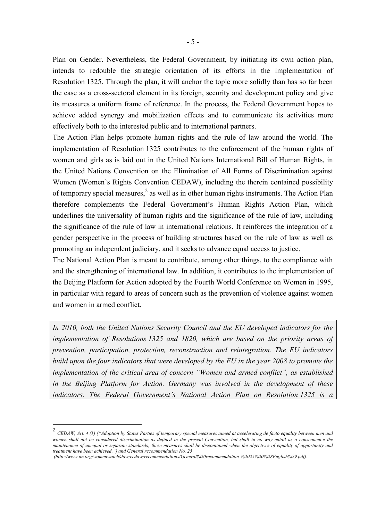Plan on Gender. Nevertheless, the Federal Government, by initiating its own action plan, intends to redouble the strategic orientation of its efforts in the implementation of Resolution 1325. Through the plan, it will anchor the topic more solidly than has so far been the case as a cross-sectoral element in its foreign, security and development policy and give its measures a uniform frame of reference. In the process, the Federal Government hopes to achieve added synergy and mobilization effects and to communicate its activities more effectively both to the interested public and to international partners.

The Action Plan helps promote human rights and the rule of law around the world. The implementation of Resolution 1325 contributes to the enforcement of the human rights of women and girls as is laid out in the United Nations International Bill of Human Rights, in the United Nations Convention on the Elimination of All Forms of Discrimination against Women (Women's Rights Convention CEDAW), including the therein contained possibility of temporary special measures, $<sup>2</sup>$  as well as in other human rights instruments. The Action Plan</sup> therefore complements the Federal Government's Human Rights Action Plan, which underlines the universality of human rights and the significance of the rule of law, including the significance of the rule of law in international relations. It reinforces the integration of a gender perspective in the process of building structures based on the rule of law as well as promoting an independent judiciary, and it seeks to advance equal access to justice.

The National Action Plan is meant to contribute, among other things, to the compliance with and the strengthening of international law. In addition, it contributes to the implementation of the Beijing Platform for Action adopted by the Fourth World Conference on Women in 1995, in particular with regard to areas of concern such as the prevention of violence against women and women in armed conflict.

*In 2010, both the United Nations Security Council and the EU developed indicators for the implementation of Resolutions 1325 and 1820, which are based on the priority areas of prevention, participation, protection, reconstruction and reintegration. The EU indicators build upon the four indicators that were developed by the EU in the year 2008 to promote the implementation of the critical area of concern "Women and armed conflict", as established in the Beijing Platform for Action. Germany was involved in the development of these indicators. The Federal Government's National Action Plan on Resolution 1325 is a* 

<sup>2</sup> *CEDAW, Art. 4 (1) ("Adoption by States Parties of temporary special measures aimed at accelerating de facto equality between men and women shall not be considered discrimination as defined in the present Convention, but shall in no way entail as a consequence the maintenance of unequal or separate standards; these measures shall be discontinued when the objectives of equality of opportunity and treatment have been achieved.") and General recommendation No. 25*

*<sup>(</sup>http://www.un.org/womenwatch/daw/cedaw/recommendations/General%20recommendation %2025%20%28English%29.pdf)*.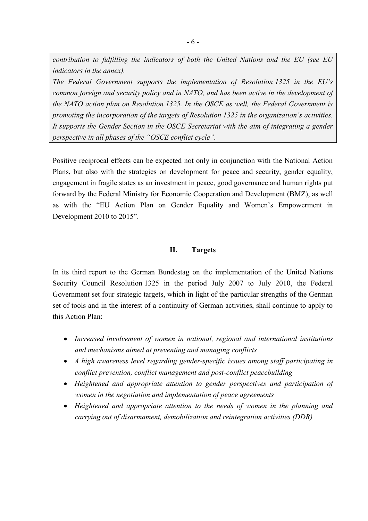*contribution to fulfilling the indicators of both the United Nations and the EU (see EU indicators in the annex).*

*The Federal Government supports the implementation of Resolution 1325 in the EU's common foreign and security policy and in NATO, and has been active in the development of the NATO action plan on Resolution 1325. In the OSCE as well, the Federal Government is promoting the incorporation of the targets of Resolution 1325 in the organization's activities. It supports the Gender Section in the OSCE Secretariat with the aim of integrating a gender perspective in all phases of the "OSCE conflict cycle".*

Positive reciprocal effects can be expected not only in conjunction with the National Action Plans, but also with the strategies on development for peace and security, gender equality, engagement in fragile states as an investment in peace, good governance and human rights put forward by the Federal Ministry for Economic Cooperation and Development (BMZ), as well as with the "EU Action Plan on Gender Equality and Women's Empowerment in Development 2010 to 2015".

#### **II. Targets**

In its third report to the German Bundestag on the implementation of the United Nations Security Council Resolution 1325 in the period July 2007 to July 2010, the Federal Government set four strategic targets, which in light of the particular strengths of the German set of tools and in the interest of a continuity of German activities, shall continue to apply to this Action Plan:

- *Increased involvement of women in national, regional and international institutions and mechanisms aimed at preventing and managing conflicts*
- *A high awareness level regarding gender-specific issues among staff participating in conflict prevention, conflict management and post-conflict peacebuilding*
- *Heightened and appropriate attention to gender perspectives and participation of women in the negotiation and implementation of peace agreements*
- *Heightened and appropriate attention to the needs of women in the planning and carrying out of disarmament, demobilization and reintegration activities (DDR)*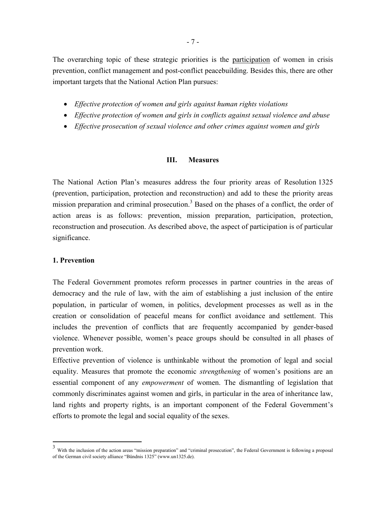The overarching topic of these strategic priorities is the participation of women in crisis prevention, conflict management and post-conflict peacebuilding. Besides this, there are other important targets that the National Action Plan pursues:

- *Effective protection of women and girls against human rights violations*
- *Effective protection of women and girls in conflicts against sexual violence and abuse*
- *Effective prosecution of sexual violence and other crimes against women and girls*

#### **III. Measures**

The National Action Plan's measures address the four priority areas of Resolution 1325 (prevention, participation, protection and reconstruction) and add to these the priority areas mission preparation and criminal prosecution.<sup>3</sup> Based on the phases of a conflict, the order of action areas is as follows: prevention, mission preparation, participation, protection, reconstruction and prosecution. As described above, the aspect of participation is of particular significance.

#### **1. Prevention**

1

The Federal Government promotes reform processes in partner countries in the areas of democracy and the rule of law, with the aim of establishing a just inclusion of the entire population, in particular of women, in politics, development processes as well as in the creation or consolidation of peaceful means for conflict avoidance and settlement. This includes the prevention of conflicts that are frequently accompanied by gender-based violence. Whenever possible, women's peace groups should be consulted in all phases of prevention work.

Effective prevention of violence is unthinkable without the promotion of legal and social equality. Measures that promote the economic *strengthening* of women's positions are an essential component of any *empowerment* of women. The dismantling of legislation that commonly discriminates against women and girls, in particular in the area of inheritance law, land rights and property rights, is an important component of the Federal Government's efforts to promote the legal and social equality of the sexes.

<sup>&</sup>lt;sup>3</sup> With the inclusion of the action areas "mission preparation" and "criminal prosecution", the Federal Government is following a proposal of the German civil society alliance "Bündnis 1325" (www.un1325.de).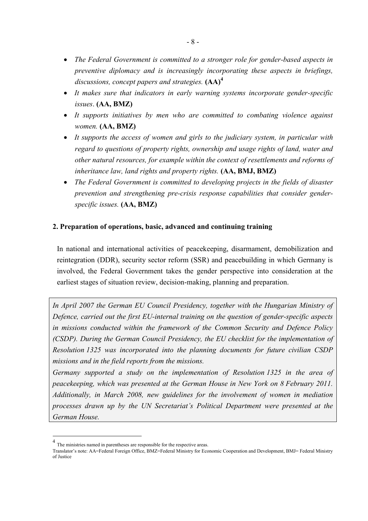- *The Federal Government is committed to a stronger role for gender-based aspects in preventive diplomacy and is increasingly incorporating these aspects in briefings, discussions, concept papers and strategies.* **(AA)<sup>4</sup>**
- *It makes sure that indicators in early warning systems incorporate gender-specific issues*. **(AA, BMZ)**
- *It supports initiatives by men who are committed to combating violence against women.* **(AA, BMZ)**
- *It supports the access of women and girls to the judiciary system, in particular with regard to questions of property rights, ownership and usage rights of land, water and other natural resources, for example within the context of resettlements and reforms of inheritance law, land rights and property rights.* **(AA, BMJ, BMZ)**
- *The Federal Government is committed to developing projects in the fields of disaster prevention and strengthening pre-crisis response capabilities that consider genderspecific issues.* **(AA, BMZ)**

# **2. Preparation of operations, basic, advanced and continuing training**

In national and international activities of peacekeeping, disarmament, demobilization and reintegration (DDR), security sector reform (SSR) and peacebuilding in which Germany is involved, the Federal Government takes the gender perspective into consideration at the earliest stages of situation review, decision-making, planning and preparation.

*In April 2007 the German EU Council Presidency, together with the Hungarian Ministry of Defence, carried out the first EU-internal training on the question of gender-specific aspects in missions conducted within the framework of the Common Security and Defence Policy (CSDP). During the German Council Presidency, the EU checklist for the implementation of Resolution 1325 was incorporated into the planning documents for future civilian CSDP missions and in the field reports from the missions.* 

*Germany supported a study on the implementation of Resolution 1325 in the area of peacekeeping, which was presented at the German House in New York on 8 February 2011. Additionally, in March 2008, new guidelines for the involvement of women in mediation processes drawn up by the UN Secretariat's Political Department were presented at the German House.*

<sup>4</sup> The ministries named in parentheses are responsible for the respective areas.

Translator's note: AA=Federal Foreign Office, BMZ=Federal Ministry for Economic Cooperation and Development, BMJ= Federal Ministry of Justice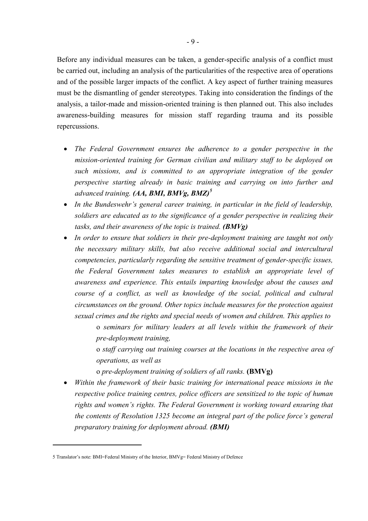Before any individual measures can be taken, a gender-specific analysis of a conflict must be carried out, including an analysis of the particularities of the respective area of operations and of the possible larger impacts of the conflict. A key aspect of further training measures must be the dismantling of gender stereotypes. Taking into consideration the findings of the analysis, a tailor-made and mission-oriented training is then planned out. This also includes awareness-building measures for mission staff regarding trauma and its possible repercussions.

- *The Federal Government ensures the adherence to a gender perspective in the mission-oriented training for German civilian and military staff to be deployed on such missions, and is committed to an appropriate integration of the gender perspective starting already in basic training and carrying on into further and advanced training. (AA, BMI, BMVg, BMZ)<sup>5</sup>*
- *In the Bundeswehr's general career training, in particular in the field of leadership, soldiers are educated as to the significance of a gender perspective in realizing their tasks, and their awareness of the topic is trained. (BMVg)*
- *In order to ensure that soldiers in their pre-deployment training are taught not only the necessary military skills, but also receive additional social and intercultural competencies, particularly regarding the sensitive treatment of gender-specific issues, the Federal Government takes measures to establish an appropriate level of awareness and experience. This entails imparting knowledge about the causes and course of a conflict, as well as knowledge of the social, political and cultural circumstances on the ground. Other topics include measures for the protection against sexual crimes and the rights and special needs of women and children. This applies to*

o *seminars for military leaders at all levels within the framework of their pre-deployment training,*

o *staff carrying out training courses at the locations in the respective area of operations, as well as*

o *pre-deployment training of soldiers of all ranks.* **(BMVg)**

*Within the framework of their basic training for international peace missions in the respective police training centres, police officers are sensitized to the topic of human rights and women's rights. The Federal Government is working toward ensuring that the contents of Resolution 1325 become an integral part of the police force's general preparatory training for deployment abroad. (BMI)*

<sup>5</sup> Translator's note: BMI=Federal Ministry of the Interior, BMVg= Federal Ministry of Defence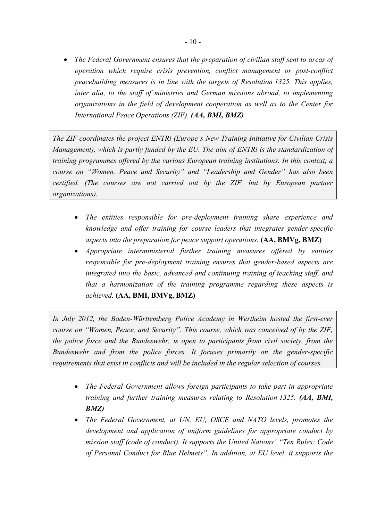*The Federal Government ensures that the preparation of civilian staff sent to areas of operation which require crisis prevention, conflict management or post-conflict peacebuilding measures is in line with the targets of Resolution 1325. This applies, inter alia, to the staff of ministries and German missions abroad, to implementing organizations in the field of development cooperation as well as to the Center for International Peace Operations (ZIF). (AA, BMI, BMZ)*

*The ZIF coordinates the project ENTRi (Europe's New Training Initiative for Civilian Crisis Management), which is partly funded by the EU. The aim of ENTRi is the standardization of training programmes offered by the various European training institutions. In this context, a course on "Women, Peace and Security" and "Leadership and Gender" has also been certified. (The courses are not carried out by the ZIF, but by European partner organizations).*

- *The entities responsible for pre-deployment training share experience and knowledge and offer training for course leaders that integrates gender-specific aspects into the preparation for peace support operations.* **(AA, BMVg, BMZ)**
- *Appropriate interministerial further training measures offered by entities responsible for pre-deployment training ensures that gender-based aspects are integrated into the basic, advanced and continuing training of teaching staff, and that a harmonization of the training programme regarding these aspects is achieved.* **(AA, BMI, BMVg, BMZ)**

*In July 2012, the Baden-Württemberg Police Academy in Wertheim hosted the first-ever course on "Women, Peace, and Security". This course, which was conceived of by the ZIF, the police force and the Bundeswehr, is open to participants from civil society, from the Bundeswehr and from the police forces. It focuses primarily on the gender-specific requirements that exist in conflicts and will be included in the regular selection of courses.*

- *The Federal Government allows foreign participants to take part in appropriate training and further training measures relating to Resolution 1325. (AA, BMI, BMZ)*
- *The Federal Government, at UN, EU, OSCE and NATO levels, promotes the development and application of uniform guidelines for appropriate conduct by mission staff (code of conduct). It supports the United Nations' "Ten Rules: Code of Personal Conduct for Blue Helmets". In addition, at EU level, it supports the*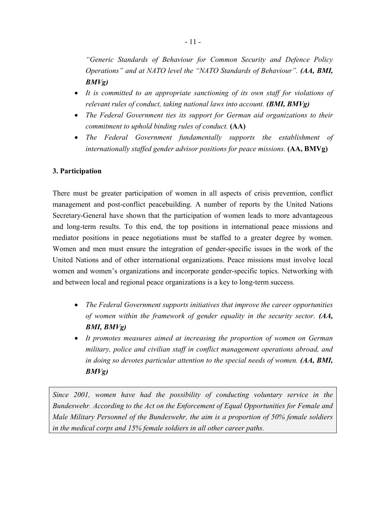*"Generic Standards of Behaviour for Common Security and Defence Policy Operations" and at NATO level the "NATO Standards of Behaviour". (AA, BMI, BMVg)*

- It is committed to an appropriate sanctioning of its own staff for violations of *relevant rules of conduct, taking national laws into account. (BMI, BMVg)*
- The Federal Government ties its support for German aid organizations to their *commitment to uphold binding rules of conduct.* **(AA)**
- *The Federal Government fundamentally supports the establishment of internationally staffed gender advisor positions for peace missions.* **(AA, BMVg)**

#### **3. Participation**

There must be greater participation of women in all aspects of crisis prevention, conflict management and post-conflict peacebuilding. A number of reports by the United Nations Secretary-General have shown that the participation of women leads to more advantageous and long-term results. To this end, the top positions in international peace missions and mediator positions in peace negotiations must be staffed to a greater degree by women. Women and men must ensure the integration of gender-specific issues in the work of the United Nations and of other international organizations. Peace missions must involve local women and women's organizations and incorporate gender-specific topics. Networking with and between local and regional peace organizations is a key to long-term success.

- *The Federal Government supports initiatives that improve the career opportunities of women within the framework of gender equality in the security sector. (AA, BMI, BMVg)*
- *It promotes measures aimed at increasing the proportion of women on German military, police and civilian staff in conflict management operations abroad, and in doing so devotes particular attention to the special needs of women. (AA, BMI, BMVg)*

*Since 2001, women have had the possibility of conducting voluntary service in the Bundeswehr. According to the Act on the Enforcement of Equal Opportunities for Female and Male Military Personnel of the Bundeswehr, the aim is a proportion of 50% female soldiers in the medical corps and 15% female soldiers in all other career paths.*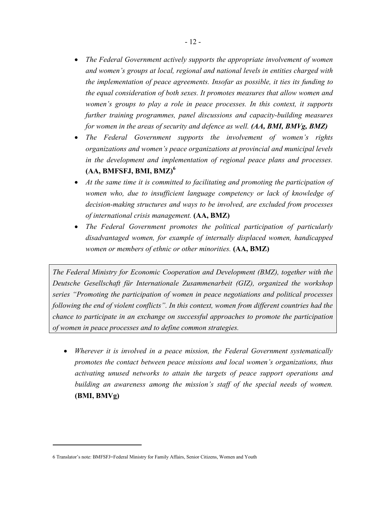- *The Federal Government actively supports the appropriate involvement of women and women's groups at local, regional and national levels in entities charged with the implementation of peace agreements. Insofar as possible, it ties its funding to the equal consideration of both sexes. It promotes measures that allow women and women's groups to play a role in peace processes. In this context, it supports further training programmes, panel discussions and capacity-building measures for women in the areas of security and defence as well. (AA, BMI, BMVg, BMZ)*
- *The Federal Government supports the involvement of women's rights organizations and women's peace organizations at provincial and municipal levels in the development and implementation of regional peace plans and processes.* **(AA, BMFSFJ, BMI, BMZ)<sup>6</sup>**
- *At the same time it is committed to facilitating and promoting the participation of women who, due to insufficient language competency or lack of knowledge of decision-making structures and ways to be involved, are excluded from processes of international crisis management.* **(AA, BMZ)**
- *The Federal Government promotes the political participation of particularly disadvantaged women, for example of internally displaced women, handicapped women or members of ethnic or other minorities.* **(AA, BMZ)**

*The Federal Ministry for Economic Cooperation and Development (BMZ), together with the Deutsche Gesellschaft für Internationale Zusammenarbeit (GIZ), organized the workshop series "Promoting the participation of women in peace negotiations and political processes following the end of violent conflicts". In this context, women from different countries had the chance to participate in an exchange on successful approaches to promote the participation of women in peace processes and to define common strategies.*

 *Wherever it is involved in a peace mission, the Federal Government systematically promotes the contact between peace missions and local women's organizations, thus activating unused networks to attain the targets of peace support operations and building an awareness among the mission's staff of the special needs of women.*  **(BMI, BMVg)**

<sup>6</sup> Translator's note: BMFSFJ=Federal Ministry for Family Affairs, Senior Citizens, Women and Youth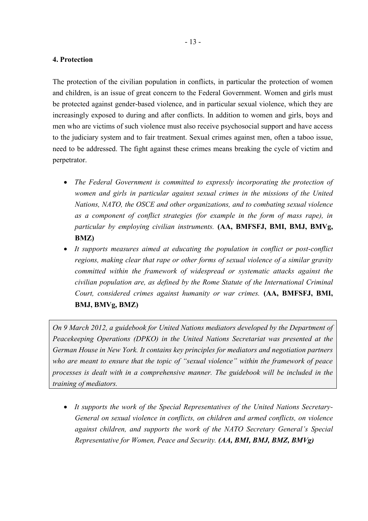#### **4. Protection**

The protection of the civilian population in conflicts, in particular the protection of women and children, is an issue of great concern to the Federal Government. Women and girls must be protected against gender-based violence, and in particular sexual violence, which they are increasingly exposed to during and after conflicts. In addition to women and girls, boys and men who are victims of such violence must also receive psychosocial support and have access to the judiciary system and to fair treatment. Sexual crimes against men, often a taboo issue, need to be addressed. The fight against these crimes means breaking the cycle of victim and perpetrator.

- *The Federal Government is committed to expressly incorporating the protection of women and girls in particular against sexual crimes in the missions of the United Nations, NATO, the OSCE and other organizations, and to combating sexual violence as a component of conflict strategies (for example in the form of mass rape), in particular by employing civilian instruments.* **(AA, BMFSFJ, BMI, BMJ, BMVg, BMZ)**
- *It supports measures aimed at educating the population in conflict or post-conflict regions, making clear that rape or other forms of sexual violence of a similar gravity committed within the framework of widespread or systematic attacks against the civilian population are, as defined by the Rome Statute of the International Criminal Court, considered crimes against humanity or war crimes.* **(AA, BMFSFJ, BMI, BMJ, BMVg, BMZ)**

*On 9 March 2012, a guidebook for United Nations mediators developed by the Department of Peacekeeping Operations (DPKO) in the United Nations Secretariat was presented at the German House in New York. It contains key principles for mediators and negotiation partners who are meant to ensure that the topic of "sexual violence" within the framework of peace processes is dealt with in a comprehensive manner. The guidebook will be included in the training of mediators.*

 *It supports the work of the Special Representatives of the United Nations Secretary-General on sexual violence in conflicts, on children and armed conflicts, on violence against children, and supports the work of the NATO Secretary General's Special Representative for Women, Peace and Security. (AA, BMI, BMJ, BMZ, BMVg)*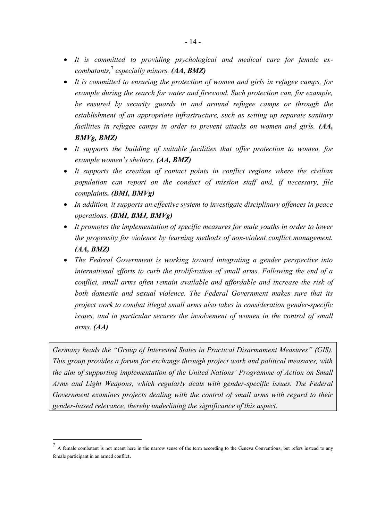- *It is committed to providing psychological and medical care for female excombatants,*<sup>7</sup> *especially minors. (AA, BMZ)*
- *It is committed to ensuring the protection of women and girls in refugee camps, for example during the search for water and firewood. Such protection can, for example, be ensured by security guards in and around refugee camps or through the establishment of an appropriate infrastructure, such as setting up separate sanitary facilities in refugee camps in order to prevent attacks on women and girls. (AA, BMVg, BMZ)*
- *It supports the building of suitable facilities that offer protection to women, for example women's shelters. (AA, BMZ)*
- *It supports the creation of contact points in conflict regions where the civilian population can report on the conduct of mission staff and, if necessary, file complaints. (BMI, BMVg)*
- *In addition, it supports an effective system to investigate disciplinary offences in peace operations. (BMI, BMJ, BMVg)*
- *It promotes the implementation of specific measures for male youths in order to lower the propensity for violence by learning methods of non-violent conflict management. (AA, BMZ)*
- *The Federal Government is working toward integrating a gender perspective into international efforts to curb the proliferation of small arms. Following the end of a conflict, small arms often remain available and affordable and increase the risk of both domestic and sexual violence. The Federal Government makes sure that its project work to combat illegal small arms also takes in consideration gender-specific issues, and in particular secures the involvement of women in the control of small arms. (AA)*

*Germany heads the "Group of Interested States in Practical Disarmament Measures" (GIS). This group provides a forum for exchange through project work and political measures, with the aim of supporting implementation of the United Nations' Programme of Action on Small Arms and Light Weapons, which regularly deals with gender-specific issues. The Federal Government examines projects dealing with the control of small arms with regard to their gender-based relevance, thereby underlining the significance of this aspect.*

<sup>7</sup> A female combatant is not meant here in the narrow sense of the term according to the Geneva Conventions, but refers instead to any female participant in an armed conflict*.*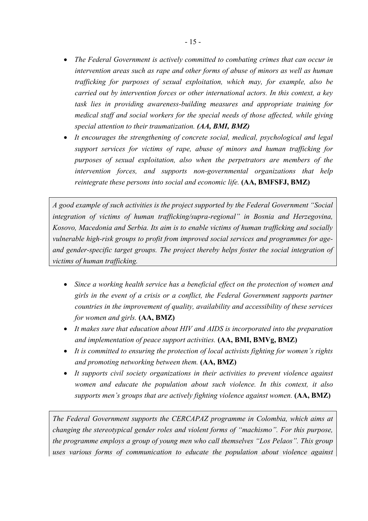- *The Federal Government is actively committed to combating crimes that can occur in intervention areas such as rape and other forms of abuse of minors as well as human trafficking for purposes of sexual exploitation, which may, for example, also be carried out by intervention forces or other international actors. In this context, a key task lies in providing awareness-building measures and appropriate training for medical staff and social workers for the special needs of those affected, while giving special attention to their traumatization. (AA, BMI, BMZ)*
- *It encourages the strengthening of concrete social, medical, psychological and legal support services for victims of rape, abuse of minors and human trafficking for purposes of sexual exploitation, also when the perpetrators are members of the intervention forces, and supports non-governmental organizations that help reintegrate these persons into social and economic life.* **(AA, BMFSFJ, BMZ)**

*A good example of such activities is the project supported by the Federal Government "Social integration of victims of human trafficking/supra-regional" in Bosnia and Herzegovina, Kosovo, Macedonia and Serbia. Its aim is to enable victims of human trafficking and socially vulnerable high-risk groups to profit from improved social services and programmes for ageand gender-specific target groups. The project thereby helps foster the social integration of victims of human trafficking.*

- *Since a working health service has a beneficial effect on the protection of women and girls in the event of a crisis or a conflict, the Federal Government supports partner countries in the improvement of quality, availability and accessibility of these services for women and girls.* **(AA, BMZ)**
- *It makes sure that education about HIV and AIDS is incorporated into the preparation and implementation of peace support activities.* **(AA, BMI, BMVg, BMZ)**
- *It is committed to ensuring the protection of local activists fighting for women's rights and promoting networking between them.* **(AA, BMZ)**
- *It supports civil society organizations in their activities to prevent violence against women and educate the population about such violence. In this context, it also supports men's groups that are actively fighting violence against women.* **(AA, BMZ)**

*The Federal Government supports the CERCAPAZ programme in Colombia, which aims at changing the stereotypical gender roles and violent forms of "machismo". For this purpose, the programme employs a group of young men who call themselves "Los Pelaos". This group uses various forms of communication to educate the population about violence against*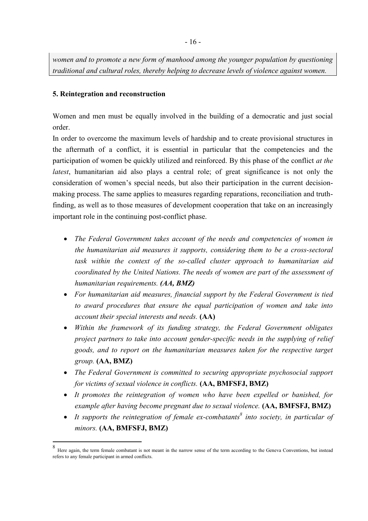*women and to promote a new form of manhood among the younger population by questioning traditional and cultural roles, thereby helping to decrease levels of violence against women.*

#### **5. Reintegration and reconstruction**

1

Women and men must be equally involved in the building of a democratic and just social order.

In order to overcome the maximum levels of hardship and to create provisional structures in the aftermath of a conflict, it is essential in particular that the competencies and the participation of women be quickly utilized and reinforced. By this phase of the conflict *at the latest*, humanitarian aid also plays a central role; of great significance is not only the consideration of women's special needs, but also their participation in the current decisionmaking process. The same applies to measures regarding reparations, reconciliation and truthfinding, as well as to those measures of development cooperation that take on an increasingly important role in the continuing post-conflict phase.

- *The Federal Government takes account of the needs and competencies of women in the humanitarian aid measures it supports, considering them to be a cross-sectoral task within the context of the so-called cluster approach to humanitarian aid coordinated by the United Nations. The needs of women are part of the assessment of humanitarian requirements. (AA, BMZ)*
- *For humanitarian aid measures, financial support by the Federal Government is tied to award procedures that ensure the equal participation of women and take into account their special interests and needs.* **(AA)**
- *Within the framework of its funding strategy, the Federal Government obligates project partners to take into account gender-specific needs in the supplying of relief goods, and to report on the humanitarian measures taken for the respective target group.* **(AA, BMZ)**
- *The Federal Government is committed to securing appropriate psychosocial support for victims of sexual violence in conflicts.* **(AA, BMFSFJ, BMZ)**
- *It promotes the reintegration of women who have been expelled or banished, for example after having become pregnant due to sexual violence.* **(AA, BMFSFJ, BMZ)**
- *It supports the reintegration of female ex-combatants<sup>8</sup> into society, in particular of minors.* **(AA, BMFSFJ, BMZ)**

<sup>8</sup> Here again, the term female combatant is not meant in the narrow sense of the term according to the Geneva Conventions, but instead refers to any female participant in armed conflicts.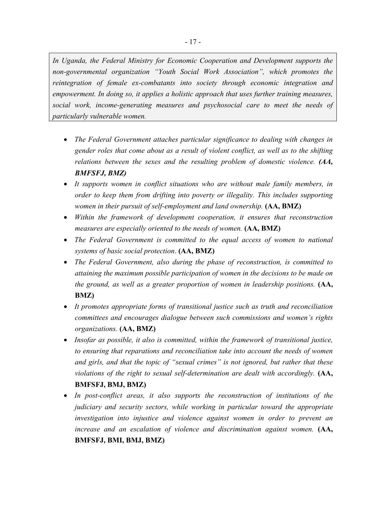*In Uganda, the Federal Ministry for Economic Cooperation and Development supports the non-governmental organization "Youth Social Work Association", which promotes the reintegration of female ex-combatants into society through economic integration and empowerment. In doing so, it applies a holistic approach that uses further training measures, social work, income-generating measures and psychosocial care to meet the needs of particularly vulnerable women.*

- *The Federal Government attaches particular significance to dealing with changes in gender roles that come about as a result of violent conflict, as well as to the shifting relations between the sexes and the resulting problem of domestic violence. (AA, BMFSFJ, BMZ)*
- *It supports women in conflict situations who are without male family members, in order to keep them from drifting into poverty or illegality. This includes supporting women in their pursuit of self-employment and land ownership.* (AA, BMZ)
- *Within the framework of development cooperation, it ensures that reconstruction measures are especially oriented to the needs of women.* **(AA, BMZ)**
- *The Federal Government is committed to the equal access of women to national systems of basic social protection*. **(AA, BMZ)**
- *The Federal Government, also during the phase of reconstruction, is committed to attaining the maximum possible participation of women in the decisions to be made on the ground, as well as a greater proportion of women in leadership positions.* (AA, **BMZ)**
- *It promotes appropriate forms of transitional justice such as truth and reconciliation committees and encourages dialogue between such commissions and women's rights organizations.* **(AA, BMZ)**
- *Insofar as possible, it also is committed, within the framework of transitional justice, to ensuring that reparations and reconciliation take into account the needs of women and girls, and that the topic of "sexual crimes" is not ignored, but rather that these violations of the right to sexual self-determination are dealt with accordingly.* (AA, **BMFSFJ, BMJ, BMZ)**
- *In post-conflict areas, it also supports the reconstruction of institutions of the judiciary and security sectors, while working in particular toward the appropriate investigation into injustice and violence against women in order to prevent an increase and an escalation of violence and discrimination against women.* **(AA, BMFSFJ, BMI, BMJ, BMZ)**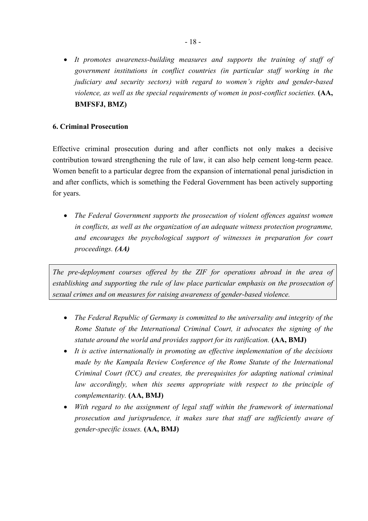• It promotes awareness-building measures and supports the training of staff of *government institutions in conflict countries (in particular staff working in the judiciary and security sectors) with regard to women's rights and gender-based violence, as well as the special requirements of women in post-conflict societies.* (AA, **BMFSFJ, BMZ)**

#### **6. Criminal Prosecution**

Effective criminal prosecution during and after conflicts not only makes a decisive contribution toward strengthening the rule of law, it can also help cement long-term peace. Women benefit to a particular degree from the expansion of international penal jurisdiction in and after conflicts, which is something the Federal Government has been actively supporting for years.

 *The Federal Government supports the prosecution of violent offences against women in conflicts, as well as the organization of an adequate witness protection programme, and encourages the psychological support of witnesses in preparation for court proceedings. (AA)*

*The pre-deployment courses offered by the ZIF for operations abroad in the area of establishing and supporting the rule of law place particular emphasis on the prosecution of sexual crimes and on measures for raising awareness of gender-based violence.*

- *The Federal Republic of Germany is committed to the universality and integrity of the Rome Statute of the International Criminal Court, it advocates the signing of the statute around the world and provides support for its ratification.* **(AA, BMJ)**
- *It is active internationally in promoting an effective implementation of the decisions made by the Kampala Review Conference of the Rome Statute of the International Criminal Court (ICC) and creates, the prerequisites for adapting national criminal*  law accordingly, when this seems appropriate with respect to the principle of *complementarity.* **(AA, BMJ)**
- *With regard to the assignment of legal staff within the framework of international prosecution and jurisprudence, it makes sure that staff are sufficiently aware of gender-specific issues.* **(AA, BMJ)**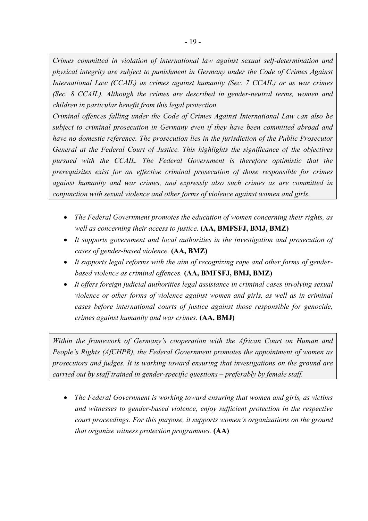*Crimes committed in violation of international law against sexual self-determination and physical integrity are subject to punishment in Germany under the Code of Crimes Against International Law (CCAIL) as crimes against humanity (Sec. 7 CCAIL) or as war crimes (Sec. 8 CCAIL). Although the crimes are described in gender-neutral terms, women and children in particular benefit from this legal protection.*

*Criminal offences falling under the Code of Crimes Against International Law can also be subject to criminal prosecution in Germany even if they have been committed abroad and have no domestic reference. The prosecution lies in the jurisdiction of the Public Prosecutor General at the Federal Court of Justice. This highlights the significance of the objectives pursued with the CCAIL. The Federal Government is therefore optimistic that the prerequisites exist for an effective criminal prosecution of those responsible for crimes against humanity and war crimes, and expressly also such crimes as are committed in conjunction with sexual violence and other forms of violence against women and girls.*

- *The Federal Government promotes the education of women concerning their rights, as well as concerning their access to justice.* **(AA, BMFSFJ, BMJ, BMZ)**
- *It supports government and local authorities in the investigation and prosecution of cases of gender-based violence.* **(AA, BMZ)**
- *It supports legal reforms with the aim of recognizing rape and other forms of genderbased violence as criminal offences.* **(AA, BMFSFJ, BMJ, BMZ)**
- *It offers foreign judicial authorities legal assistance in criminal cases involving sexual violence or other forms of violence against women and girls, as well as in criminal cases before international courts of justice against those responsible for genocide, crimes against humanity and war crimes.* **(AA, BMJ)**

*Within the framework of Germany's cooperation with the African Court on Human and People's Rights (AfCHPR), the Federal Government promotes the appointment of women as prosecutors and judges. It is working toward ensuring that investigations on the ground are carried out by staff trained in gender-specific questions – preferably by female staff.*

 *The Federal Government is working toward ensuring that women and girls, as victims and witnesses to gender-based violence, enjoy sufficient protection in the respective court proceedings. For this purpose, it supports women's organizations on the ground that organize witness protection programmes.* **(AA)**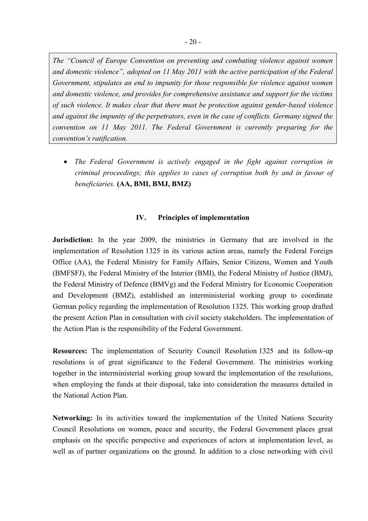*The "Council of Europe Convention on preventing and combating violence against women and domestic violence", adopted on 11 May 2011 with the active participation of the Federal Government, stipulates an end to impunity for those responsible for violence against women and domestic violence, and provides for comprehensive assistance and support for the victims of such violence. It makes clear that there must be protection against gender-based violence and against the impunity of the perpetrators, even in the case of conflicts. Germany signed the convention on 11 May 2011. The Federal Government is currently preparing for the convention's ratification.*

 *The Federal Government is actively engaged in the fight against corruption in criminal proceedings; this applies to cases of corruption both by and in favour of beneficiaries.* **(AA, BMI, BMJ, BMZ)**

#### **IV. Principles of implementation**

**Jurisdiction:** In the year 2009, the ministries in Germany that are involved in the implementation of Resolution 1325 in its various action areas, namely the Federal Foreign Office (AA), the Federal Ministry for Family Affairs, Senior Citizens, Women and Youth (BMFSFJ), the Federal Ministry of the Interior (BMI), the Federal Ministry of Justice (BMJ), the Federal Ministry of Defence (BMVg) and the Federal Ministry for Economic Cooperation and Development (BMZ), established an interministerial working group to coordinate German policy regarding the implementation of Resolution 1325. This working group drafted the present Action Plan in consultation with civil society stakeholders. The implementation of the Action Plan is the responsibility of the Federal Government.

**Resources:** The implementation of Security Council Resolution 1325 and its follow-up resolutions is of great significance to the Federal Government. The ministries working together in the interministerial working group toward the implementation of the resolutions, when employing the funds at their disposal, take into consideration the measures detailed in the National Action Plan.

**Networking:** In its activities toward the implementation of the United Nations Security Council Resolutions on women, peace and security, the Federal Government places great emphasis on the specific perspective and experiences of actors at implementation level, as well as of partner organizations on the ground. In addition to a close networking with civil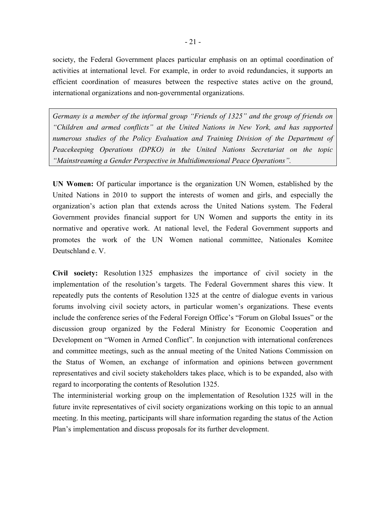society, the Federal Government places particular emphasis on an optimal coordination of activities at international level. For example, in order to avoid redundancies, it supports an efficient coordination of measures between the respective states active on the ground, international organizations and non-governmental organizations.

*Germany is a member of the informal group "Friends of 1325" and the group of friends on "Children and armed conflicts" at the United Nations in New York, and has supported numerous studies of the Policy Evaluation and Training Division of the Department of Peacekeeping Operations (DPKO) in the United Nations Secretariat on the topic "Mainstreaming a Gender Perspective in Multidimensional Peace Operations".*

**UN Women:** Of particular importance is the organization UN Women, established by the United Nations in 2010 to support the interests of women and girls, and especially the organization's action plan that extends across the United Nations system. The Federal Government provides financial support for UN Women and supports the entity in its normative and operative work. At national level, the Federal Government supports and promotes the work of the UN Women national committee, Nationales Komitee Deutschland e. V.

**Civil society:** Resolution 1325 emphasizes the importance of civil society in the implementation of the resolution's targets. The Federal Government shares this view. It repeatedly puts the contents of Resolution 1325 at the centre of dialogue events in various forums involving civil society actors, in particular women's organizations. These events include the conference series of the Federal Foreign Office's "Forum on Global Issues" or the discussion group organized by the Federal Ministry for Economic Cooperation and Development on "Women in Armed Conflict". In conjunction with international conferences and committee meetings, such as the annual meeting of the United Nations Commission on the Status of Women, an exchange of information and opinions between government representatives and civil society stakeholders takes place, which is to be expanded, also with regard to incorporating the contents of Resolution 1325.

The interministerial working group on the implementation of Resolution 1325 will in the future invite representatives of civil society organizations working on this topic to an annual meeting. In this meeting, participants will share information regarding the status of the Action Plan's implementation and discuss proposals for its further development.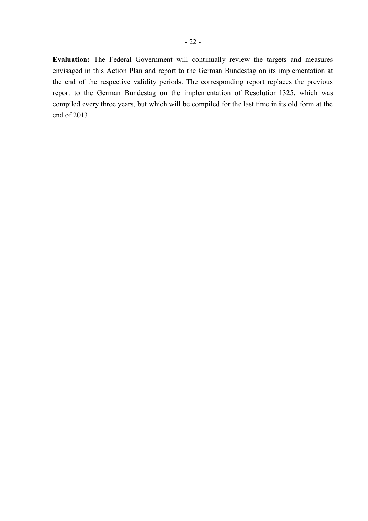**Evaluation:** The Federal Government will continually review the targets and measures envisaged in this Action Plan and report to the German Bundestag on its implementation at the end of the respective validity periods. The corresponding report replaces the previous report to the German Bundestag on the implementation of Resolution 1325, which was compiled every three years, but which will be compiled for the last time in its old form at the end of 2013.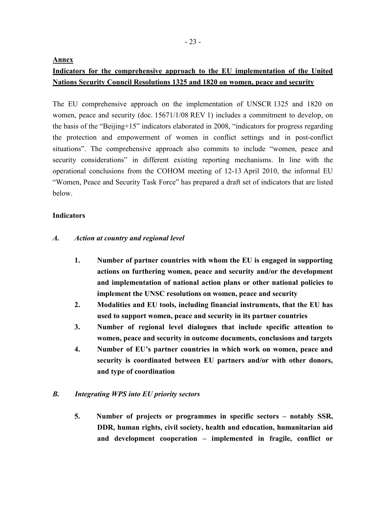**Annex**

# **Indicators for the comprehensive approach to the EU implementation of the United Nations Security Council Resolutions 1325 and 1820 on women, peace and security**

The EU comprehensive approach on the implementation of UNSCR 1325 and 1820 on women, peace and security (doc. 15671/1/08 REV 1) includes a commitment to develop, on the basis of the "Beijing+15" indicators elaborated in 2008, "indicators for progress regarding the protection and empowerment of women in conflict settings and in post-conflict situations". The comprehensive approach also commits to include "women, peace and security considerations" in different existing reporting mechanisms. In line with the operational conclusions from the COHOM meeting of 12-13 April 2010, the informal EU "Women, Peace and Security Task Force" has prepared a draft set of indicators that are listed below.

# **Indicators**

# *A. Action at country and regional level*

- **1. Number of partner countries with whom the EU is engaged in supporting actions on furthering women, peace and security and/or the development and implementation of national action plans or other national policies to implement the UNSC resolutions on women, peace and security**
- **2. Modalities and EU tools, including financial instruments, that the EU has used to support women, peace and security in its partner countries**
- **3. Number of regional level dialogues that include specific attention to women, peace and security in outcome documents, conclusions and targets**
- **4. Number of EU's partner countries in which work on women, peace and security is coordinated between EU partners and/or with other donors, and type of coordination**

# *B. Integrating WPS into EU priority sectors*

**5. Number of projects or programmes in specific sectors – notably SSR, DDR, human rights, civil society, health and education, humanitarian aid and development cooperation – implemented in fragile, conflict or**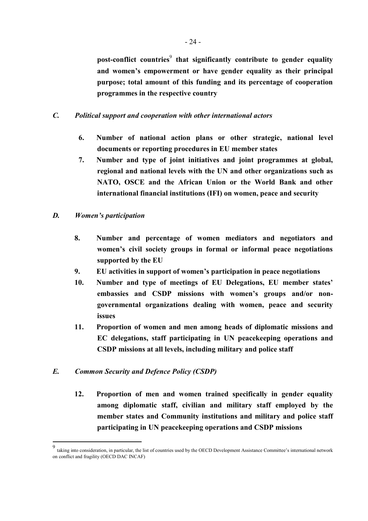post-conflict countries<sup>9</sup> that significantly contribute to gender equality **and women's empowerment or have gender equality as their principal purpose; total amount of this funding and its percentage of cooperation programmes in the respective country**

#### *C. Political support and cooperation with other international actors*

- **6. Number of national action plans or other strategic, national level documents or reporting procedures in EU member states**
- **7. Number and type of joint initiatives and joint programmes at global, regional and national levels with the UN and other organizations such as NATO, OSCE and the African Union or the World Bank and other international financial institutions (IFI) on women, peace and security**

#### *D. Women's participation*

- **8. Number and percentage of women mediators and negotiators and women's civil society groups in formal or informal peace negotiations supported by the EU**
- **9. EU activities in support of women's participation in peace negotiations**
- **10. Number and type of meetings of EU Delegations, EU member states' embassies and CSDP missions with women's groups and/or nongovernmental organizations dealing with women, peace and security issues**
- **11. Proportion of women and men among heads of diplomatic missions and EC delegations, staff participating in UN peacekeeping operations and CSDP missions at all levels, including military and police staff**

#### *E. Common Security and Defence Policy (CSDP)*

**12. Proportion of men and women trained specifically in gender equality among diplomatic staff, civilian and military staff employed by the member states and Community institutions and military and police staff participating in UN peacekeeping operations and CSDP missions**

<sup>-&</sup>lt;br>9 taking into consideration, in particular, the list of countries used by the OECD Development Assistance Committee's international network on conflict and fragility (OECD DAC INCAF)